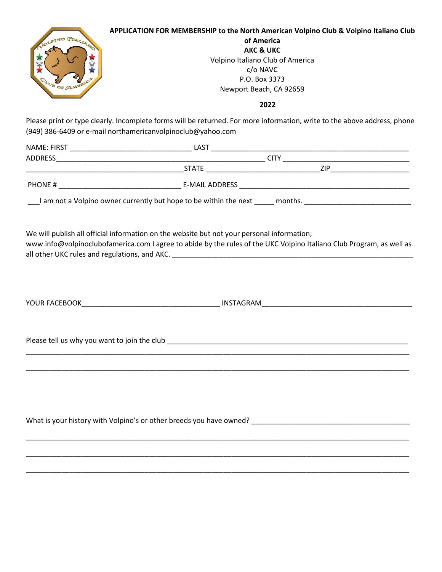| JOUPINO TTALLAN<br>OF AME                    | APPLICATION FOR MEMBERSHIP to the North American Volpino Club & Volpino Italiano Club<br>of America<br><b>AKC &amp; UKC</b><br>Volpino Italiano Club of America<br>c/o NAVC<br>P.O. Box 3373<br>Newport Beach, CA 92659 |
|----------------------------------------------|-------------------------------------------------------------------------------------------------------------------------------------------------------------------------------------------------------------------------|
|                                              | 2022                                                                                                                                                                                                                    |
|                                              | Please print or type clearly. Incomplete forms will be returned. For more information, write to the above address, phone<br>(949) 386-6409 or e-mail northamericanvolpinoclub@yahoo.com                                 |
|                                              |                                                                                                                                                                                                                         |
|                                              |                                                                                                                                                                                                                         |
|                                              |                                                                                                                                                                                                                         |
|                                              |                                                                                                                                                                                                                         |
|                                              | I am not a Volpino owner currently but hope to be within the next 100 months. 200 months.                                                                                                                               |
|                                              | www.info@volpinoclubofamerica.com I agree to abide by the rules of the UKC Volpino Italiano Club Program, as well as                                                                                                    |
| Please tell us why you want to join the club |                                                                                                                                                                                                                         |
|                                              |                                                                                                                                                                                                                         |
|                                              |                                                                                                                                                                                                                         |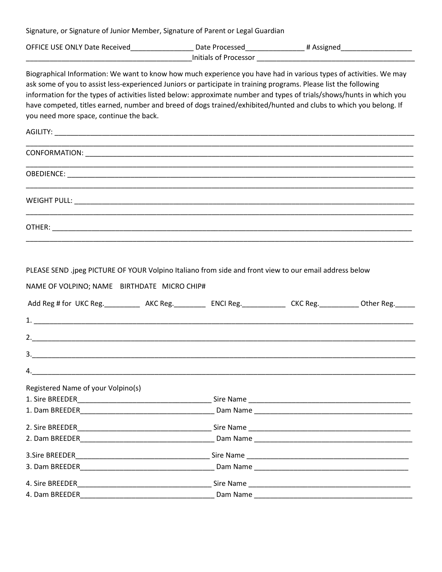Signature, or Signature of Junior Member, Signature of Parent or Legal Guardian

| <b>OFFICE USE ONLY Date Received</b> | Date Processed | Assigned |  |  |  |
|--------------------------------------|----------------|----------|--|--|--|
| Initials of Processor                |                |          |  |  |  |

Biographical Information: We want to know how much experience you have had in various types of activities. We may ask some of you to assist less-experienced Juniors or participate in training programs. Please list the following information for the types of activities listed below: approximate number and types of trials/shows/hunts in which you have competed, titles earned, number and breed of dogs trained/exhibited/hunted and clubs to which you belong. If you need more space, continue the back.

\_\_\_\_\_\_\_\_\_\_\_\_\_\_\_\_\_\_\_\_\_\_\_\_\_\_\_\_\_\_\_\_\_\_\_\_\_\_\_\_\_\_\_\_\_\_\_\_\_\_\_\_\_\_\_\_\_\_\_\_\_\_\_\_\_\_\_\_\_\_\_\_\_\_\_\_\_\_\_\_\_\_\_\_\_\_\_\_\_\_\_\_\_\_\_\_\_\_

\_\_\_\_\_\_\_\_\_\_\_\_\_\_\_\_\_\_\_\_\_\_\_\_\_\_\_\_\_\_\_\_\_\_\_\_\_\_\_\_\_\_\_\_\_\_\_\_\_\_\_\_\_\_\_\_\_\_\_\_\_\_\_\_\_\_\_\_\_\_\_\_\_\_\_\_\_\_\_\_\_\_\_\_\_\_\_\_\_\_\_\_\_\_\_\_\_\_

\_\_\_\_\_\_\_\_\_\_\_\_\_\_\_\_\_\_\_\_\_\_\_\_\_\_\_\_\_\_\_\_\_\_\_\_\_\_\_\_\_\_\_\_\_\_\_\_\_\_\_\_\_\_\_\_\_\_\_\_\_\_\_\_\_\_\_\_\_\_\_\_\_\_\_\_\_\_\_\_\_\_\_\_\_\_\_\_\_\_\_\_\_\_\_\_\_\_

\_\_\_\_\_\_\_\_\_\_\_\_\_\_\_\_\_\_\_\_\_\_\_\_\_\_\_\_\_\_\_\_\_\_\_\_\_\_\_\_\_\_\_\_\_\_\_\_\_\_\_\_\_\_\_\_\_\_\_\_\_\_\_\_\_\_\_\_\_\_\_\_\_\_\_\_\_\_\_\_\_\_\_\_\_\_\_\_\_\_\_\_\_\_\_\_\_\_

\_\_\_\_\_\_\_\_\_\_\_\_\_\_\_\_\_\_\_\_\_\_\_\_\_\_\_\_\_\_\_\_\_\_\_\_\_\_\_\_\_\_\_\_\_\_\_\_\_\_\_\_\_\_\_\_\_\_\_\_\_\_\_\_\_\_\_\_\_\_\_\_\_\_\_\_\_\_\_\_\_\_\_\_\_\_\_\_\_\_\_\_\_\_\_\_\_\_

 $AGILITY:$ 

| <b>CONFORMATION:</b> |  |  |  |
|----------------------|--|--|--|
|                      |  |  |  |

OBEDIENCE: \_\_\_\_\_\_\_\_\_\_\_\_\_\_\_\_\_\_\_\_\_\_\_\_\_\_\_\_\_\_\_\_\_\_\_\_\_\_\_\_\_\_\_\_\_\_\_\_\_\_\_\_\_\_\_\_\_\_\_\_\_\_\_\_\_\_\_\_\_\_\_\_\_\_\_\_\_\_\_\_\_\_\_\_\_\_\_\_

WEIGHT PULL: \_\_\_\_\_\_\_\_\_\_\_\_\_\_\_\_\_\_\_\_\_\_\_\_\_\_\_\_\_\_\_\_\_\_\_\_\_\_\_\_\_\_\_\_\_\_\_\_\_\_\_\_\_\_\_\_\_\_\_\_\_\_\_\_\_\_\_\_\_\_\_\_\_\_\_\_\_\_\_\_\_\_\_\_\_\_

OTHER: The contract of the contract of the contract of the contract of the contract of the contract of the contract of the contract of the contract of the contract of the contract of the contract of the contract of the con

|  | PLEASE SEND .jpeg PICTURE OF YOUR Volpino Italiano from side and front view to our email address below |
|--|--------------------------------------------------------------------------------------------------------|
|--|--------------------------------------------------------------------------------------------------------|

NAME OF VOLPINO; NAME BIRTHDATE MICRO CHIP#

| Add Reg # for UKC Reg. ___________ AKC Reg. __________ ENCI Reg. ____________ CKC Reg. ________ Other Reg. ___ |  |  |
|----------------------------------------------------------------------------------------------------------------|--|--|
|                                                                                                                |  |  |
| 2.                                                                                                             |  |  |
|                                                                                                                |  |  |
|                                                                                                                |  |  |
| Registered Name of your Volpino(s)                                                                             |  |  |
|                                                                                                                |  |  |
|                                                                                                                |  |  |
|                                                                                                                |  |  |
|                                                                                                                |  |  |
|                                                                                                                |  |  |
|                                                                                                                |  |  |
|                                                                                                                |  |  |
|                                                                                                                |  |  |